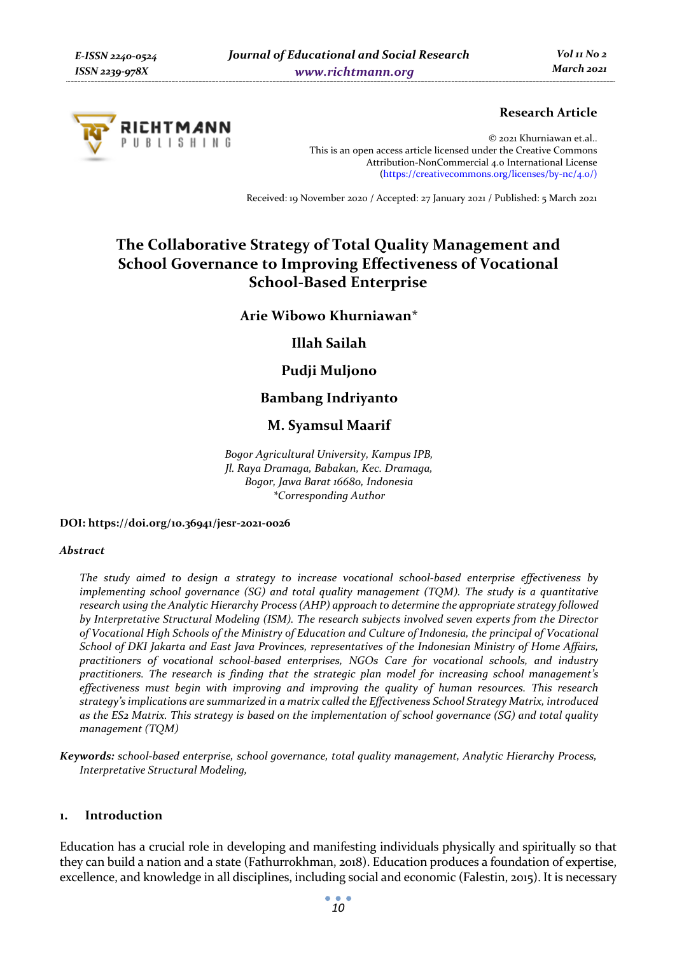

# **Research Article**

© 2021 Khurniawan et.al.. This is an open access article licensed under the Creative Commons Attribution-NonCommercial 4.0 International License (https://creativecommons.org/licenses/by-nc/4.0/)

Received: 19 November 2020 / Accepted: 27 January 2021 / Published: 5 March 2021

# **The Collaborative Strategy of Total Quality Management and School Governance to Improving Effectiveness of Vocational School-Based Enterprise**

**Arie Wibowo Khurniawan\*** 

**Illah Sailah** 

# **Pudji Muljono**

# **Bambang Indriyanto**

# **M. Syamsul Maarif**

*Bogor Agricultural University, Kampus IPB, Jl. Raya Dramaga, Babakan, Kec. Dramaga, Bogor, Jawa Barat 16680, Indonesia \*Corresponding Author* 

#### **DOI: https://doi.org/10.36941/jesr-2021-0026**

#### *Abstract*

*The study aimed to design a strategy to increase vocational school-based enterprise effectiveness by implementing school governance (SG) and total quality management (TQM). The study is a quantitative research using the Analytic Hierarchy Process (AHP) approach to determine the appropriate strategy followed by Interpretative Structural Modeling (ISM). The research subjects involved seven experts from the Director of Vocational High Schools of the Ministry of Education and Culture of Indonesia, the principal of Vocational School of DKI Jakarta and East Java Provinces, representatives of the Indonesian Ministry of Home Affairs, practitioners of vocational school-based enterprises, NGOs Care for vocational schools, and industry practitioners. The research is finding that the strategic plan model for increasing school management's effectiveness must begin with improving and improving the quality of human resources. This research strategy's implications are summarized in a matrix called the Effectiveness School Strategy Matrix, introduced as the ES2 Matrix. This strategy is based on the implementation of school governance (SG) and total quality management (TQM)* 

*Keywords: school-based enterprise, school governance, total quality management, Analytic Hierarchy Process, Interpretative Structural Modeling,* 

# **1. Introduction**

Education has a crucial role in developing and manifesting individuals physically and spiritually so that they can build a nation and a state (Fathurrokhman, 2018). Education produces a foundation of expertise, excellence, and knowledge in all disciplines, including social and economic (Falestin, 2015). It is necessary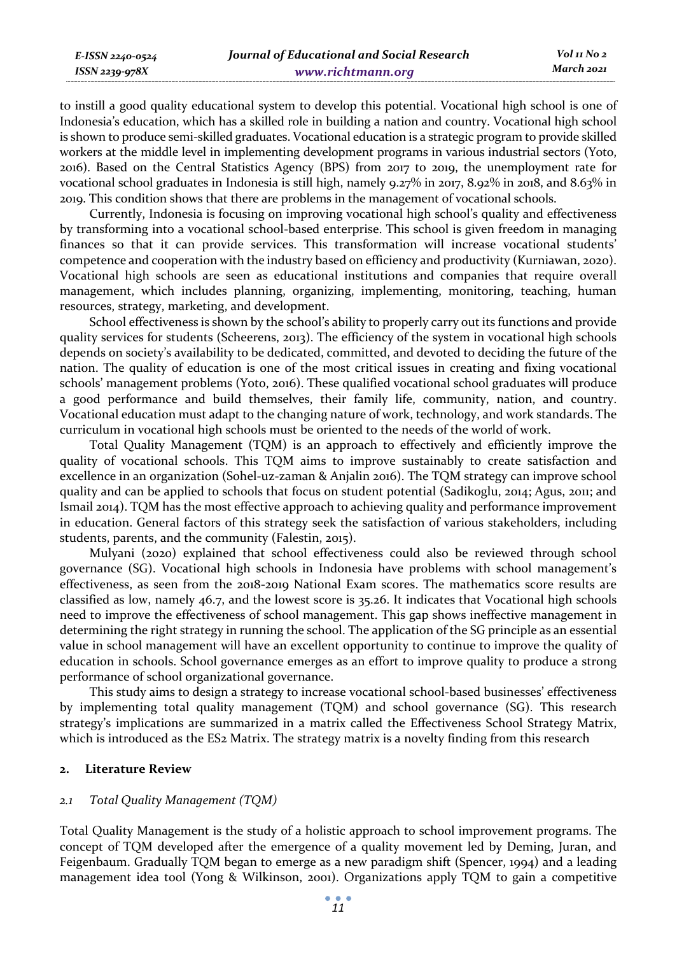| E-ISSN 2240-0524    | Journal of Educational and Social Research | Vol 11 No 2 |
|---------------------|--------------------------------------------|-------------|
| $ISSN$ 2239-97 $8X$ | www.richtmann.org                          | March 2021  |

to instill a good quality educational system to develop this potential. Vocational high school is one of Indonesia's education, which has a skilled role in building a nation and country. Vocational high school is shown to produce semi-skilled graduates. Vocational education is a strategic program to provide skilled workers at the middle level in implementing development programs in various industrial sectors (Yoto, 2016). Based on the Central Statistics Agency (BPS) from 2017 to 2019, the unemployment rate for vocational school graduates in Indonesia is still high, namely 9.27% in 2017, 8.92% in 2018, and 8.63% in 2019. This condition shows that there are problems in the management of vocational schools.

Currently, Indonesia is focusing on improving vocational high school's quality and effectiveness by transforming into a vocational school-based enterprise. This school is given freedom in managing finances so that it can provide services. This transformation will increase vocational students' competence and cooperation with the industry based on efficiency and productivity (Kurniawan, 2020). Vocational high schools are seen as educational institutions and companies that require overall management, which includes planning, organizing, implementing, monitoring, teaching, human resources, strategy, marketing, and development.

School effectiveness is shown by the school's ability to properly carry out its functions and provide quality services for students (Scheerens, 2013). The efficiency of the system in vocational high schools depends on society's availability to be dedicated, committed, and devoted to deciding the future of the nation. The quality of education is one of the most critical issues in creating and fixing vocational schools' management problems (Yoto, 2016). These qualified vocational school graduates will produce a good performance and build themselves, their family life, community, nation, and country. Vocational education must adapt to the changing nature of work, technology, and work standards. The curriculum in vocational high schools must be oriented to the needs of the world of work.

Total Quality Management (TQM) is an approach to effectively and efficiently improve the quality of vocational schools. This TQM aims to improve sustainably to create satisfaction and excellence in an organization (Sohel-uz-zaman & Anjalin 2016). The TQM strategy can improve school quality and can be applied to schools that focus on student potential (Sadikoglu, 2014; Agus, 2011; and Ismail 2014). TQM has the most effective approach to achieving quality and performance improvement in education. General factors of this strategy seek the satisfaction of various stakeholders, including students, parents, and the community (Falestin, 2015).

Mulyani (2020) explained that school effectiveness could also be reviewed through school governance (SG). Vocational high schools in Indonesia have problems with school management's effectiveness, as seen from the 2018-2019 National Exam scores. The mathematics score results are classified as low, namely 46.7, and the lowest score is 35.26. It indicates that Vocational high schools need to improve the effectiveness of school management. This gap shows ineffective management in determining the right strategy in running the school. The application of the SG principle as an essential value in school management will have an excellent opportunity to continue to improve the quality of education in schools. School governance emerges as an effort to improve quality to produce a strong performance of school organizational governance.

This study aims to design a strategy to increase vocational school-based businesses' effectiveness by implementing total quality management (TQM) and school governance (SG). This research strategy's implications are summarized in a matrix called the Effectiveness School Strategy Matrix, which is introduced as the ES<sub>2</sub> Matrix. The strategy matrix is a novelty finding from this research

### **2. Literature Review**

### *2.1 Total Quality Management (TQM)*

Total Quality Management is the study of a holistic approach to school improvement programs. The concept of TQM developed after the emergence of a quality movement led by Deming, Juran, and Feigenbaum. Gradually TQM began to emerge as a new paradigm shift (Spencer, 1994) and a leading management idea tool (Yong & Wilkinson, 2001). Organizations apply TQM to gain a competitive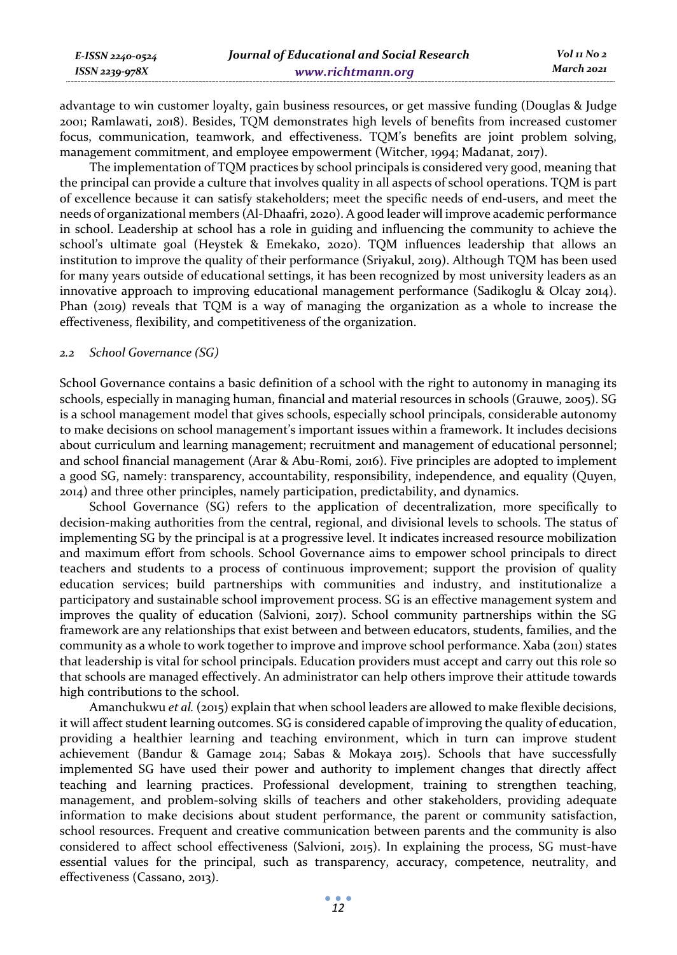| E-ISSN 2240-0524    | Journal of Educational and Social Research | Vol 11 No 2 |
|---------------------|--------------------------------------------|-------------|
| $ISSN$ 2239-97 $8X$ | www.richtmann.org                          | March 2021  |

advantage to win customer loyalty, gain business resources, or get massive funding (Douglas & Judge 2001; Ramlawati, 2018). Besides, TQM demonstrates high levels of benefits from increased customer focus, communication, teamwork, and effectiveness. TQM's benefits are joint problem solving, management commitment, and employee empowerment (Witcher, 1994; Madanat, 2017).

The implementation of TQM practices by school principals is considered very good, meaning that the principal can provide a culture that involves quality in all aspects of school operations. TQM is part of excellence because it can satisfy stakeholders; meet the specific needs of end-users, and meet the needs of organizational members (Al-Dhaafri, 2020). A good leader will improve academic performance in school. Leadership at school has a role in guiding and influencing the community to achieve the school's ultimate goal (Heystek & Emekako, 2020). TQM influences leadership that allows an institution to improve the quality of their performance (Sriyakul, 2019). Although TQM has been used for many years outside of educational settings, it has been recognized by most university leaders as an innovative approach to improving educational management performance (Sadikoglu & Olcay 2014). Phan (2019) reveals that TQM is a way of managing the organization as a whole to increase the effectiveness, flexibility, and competitiveness of the organization.

#### *2.2 School Governance (SG)*

School Governance contains a basic definition of a school with the right to autonomy in managing its schools, especially in managing human, financial and material resources in schools (Grauwe, 2005). SG is a school management model that gives schools, especially school principals, considerable autonomy to make decisions on school management's important issues within a framework. It includes decisions about curriculum and learning management; recruitment and management of educational personnel; and school financial management (Arar & Abu-Romi, 2016). Five principles are adopted to implement a good SG, namely: transparency, accountability, responsibility, independence, and equality (Quyen, 2014) and three other principles, namely participation, predictability, and dynamics.

School Governance (SG) refers to the application of decentralization, more specifically to decision-making authorities from the central, regional, and divisional levels to schools. The status of implementing SG by the principal is at a progressive level. It indicates increased resource mobilization and maximum effort from schools. School Governance aims to empower school principals to direct teachers and students to a process of continuous improvement; support the provision of quality education services; build partnerships with communities and industry, and institutionalize a participatory and sustainable school improvement process. SG is an effective management system and improves the quality of education (Salvioni, 2017). School community partnerships within the SG framework are any relationships that exist between and between educators, students, families, and the community as a whole to work together to improve and improve school performance. Xaba (2011) states that leadership is vital for school principals. Education providers must accept and carry out this role so that schools are managed effectively. An administrator can help others improve their attitude towards high contributions to the school.

Amanchukwu *et al.* (2015) explain that when school leaders are allowed to make flexible decisions, it will affect student learning outcomes. SG is considered capable of improving the quality of education, providing a healthier learning and teaching environment, which in turn can improve student achievement (Bandur & Gamage 2014; Sabas & Mokaya 2015). Schools that have successfully implemented SG have used their power and authority to implement changes that directly affect teaching and learning practices. Professional development, training to strengthen teaching, management, and problem-solving skills of teachers and other stakeholders, providing adequate information to make decisions about student performance, the parent or community satisfaction, school resources. Frequent and creative communication between parents and the community is also considered to affect school effectiveness (Salvioni, 2015). In explaining the process, SG must-have essential values for the principal, such as transparency, accuracy, competence, neutrality, and effectiveness (Cassano, 2013).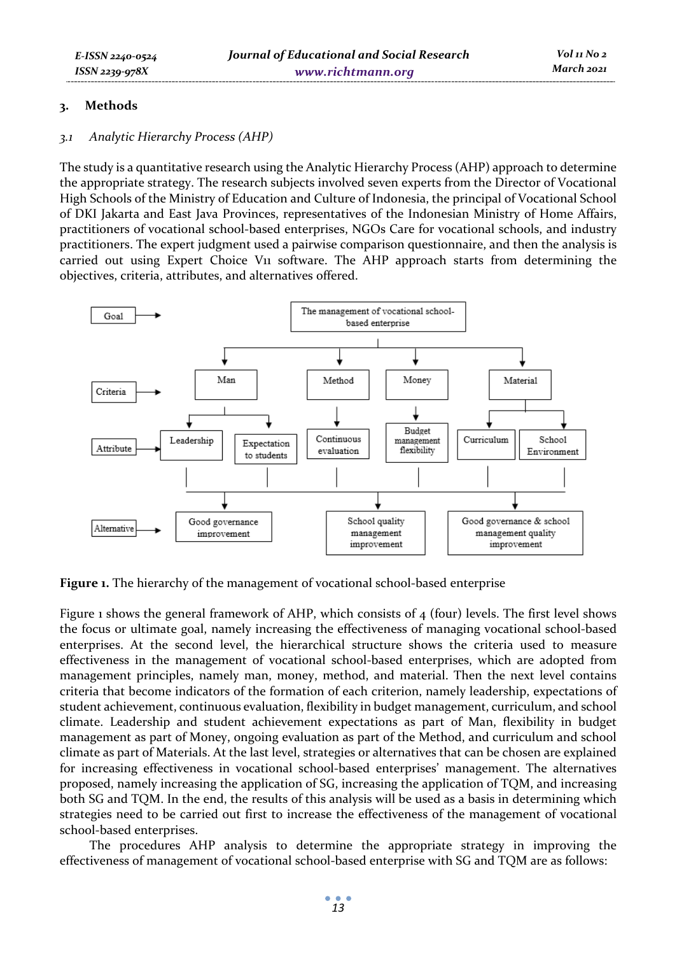# **3. Methods**

# *3.1 Analytic Hierarchy Process (AHP)*

The study is a quantitative research using the Analytic Hierarchy Process (AHP) approach to determine the appropriate strategy. The research subjects involved seven experts from the Director of Vocational High Schools of the Ministry of Education and Culture of Indonesia, the principal of Vocational School of DKI Jakarta and East Java Provinces, representatives of the Indonesian Ministry of Home Affairs, practitioners of vocational school-based enterprises, NGOs Care for vocational schools, and industry practitioners. The expert judgment used a pairwise comparison questionnaire, and then the analysis is carried out using Expert Choice V<sub>11</sub> software. The AHP approach starts from determining the objectives, criteria, attributes, and alternatives offered.



**Figure 1.** The hierarchy of the management of vocational school-based enterprise

Figure 1 shows the general framework of AHP, which consists of  $\frac{4}{10}$  (four) levels. The first level shows the focus or ultimate goal, namely increasing the effectiveness of managing vocational school-based enterprises. At the second level, the hierarchical structure shows the criteria used to measure effectiveness in the management of vocational school-based enterprises, which are adopted from management principles, namely man, money, method, and material. Then the next level contains criteria that become indicators of the formation of each criterion, namely leadership, expectations of student achievement, continuous evaluation, flexibility in budget management, curriculum, and school climate. Leadership and student achievement expectations as part of Man, flexibility in budget management as part of Money, ongoing evaluation as part of the Method, and curriculum and school climate as part of Materials. At the last level, strategies or alternatives that can be chosen are explained for increasing effectiveness in vocational school-based enterprises' management. The alternatives proposed, namely increasing the application of SG, increasing the application of TQM, and increasing both SG and TQM. In the end, the results of this analysis will be used as a basis in determining which strategies need to be carried out first to increase the effectiveness of the management of vocational school-based enterprises.

The procedures AHP analysis to determine the appropriate strategy in improving the effectiveness of management of vocational school-based enterprise with SG and TQM are as follows: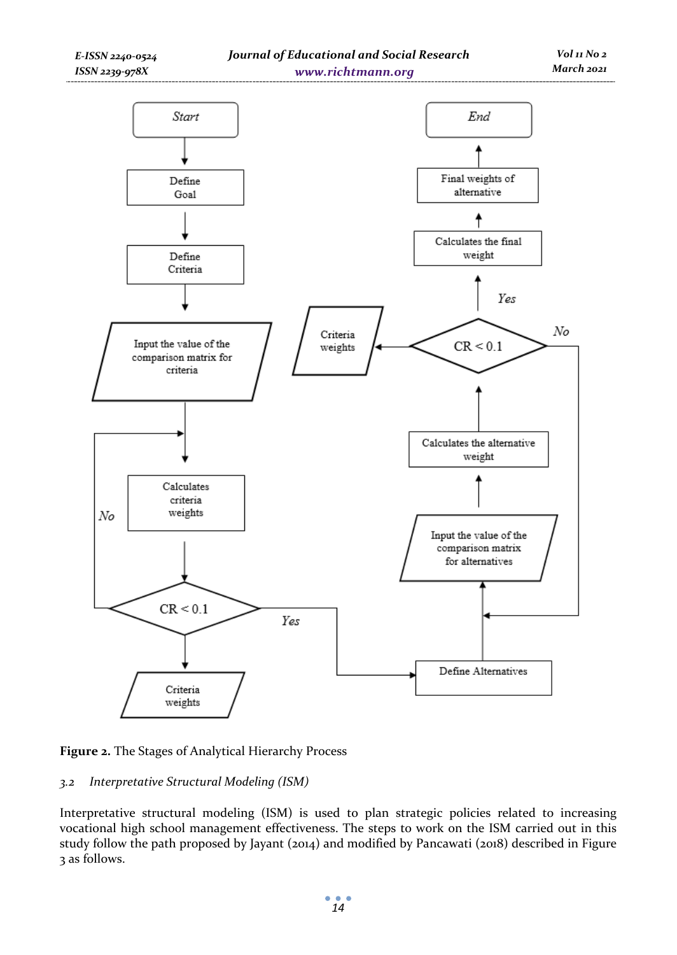



# *3.2 Interpretative Structural Modeling (ISM)*

Interpretative structural modeling (ISM) is used to plan strategic policies related to increasing vocational high school management effectiveness. The steps to work on the ISM carried out in this study follow the path proposed by Jayant (2014) and modified by Pancawati (2018) described in Figure 3 as follows.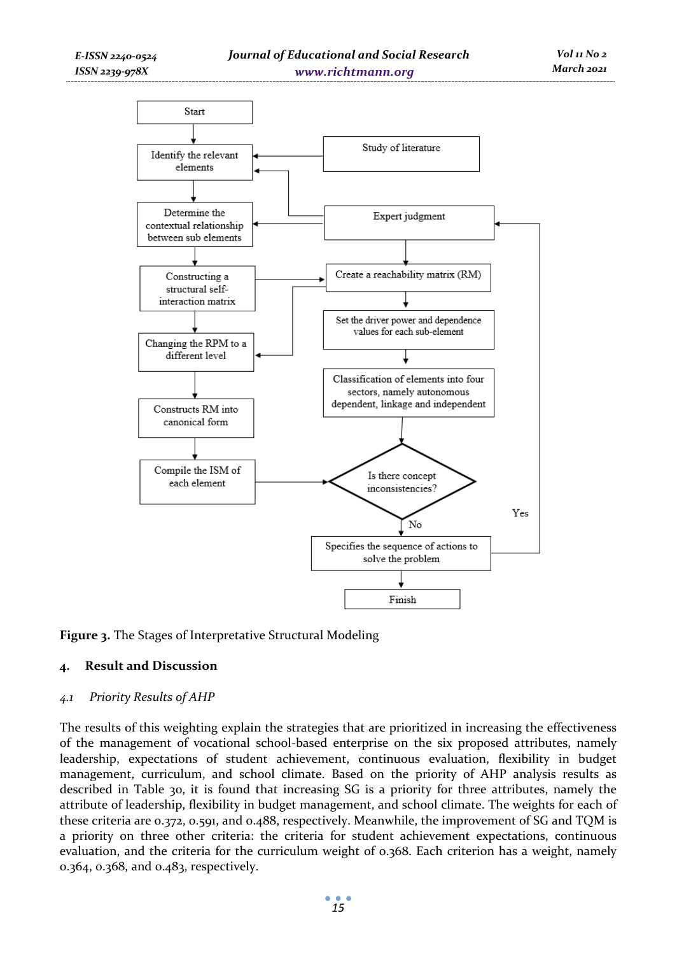

**Figure 3.** The Stages of Interpretative Structural Modeling

# **4. Result and Discussion**

### *4.1 Priority Results of AHP*

The results of this weighting explain the strategies that are prioritized in increasing the effectiveness of the management of vocational school-based enterprise on the six proposed attributes, namely leadership, expectations of student achievement, continuous evaluation, flexibility in budget management, curriculum, and school climate. Based on the priority of AHP analysis results as described in Table 30, it is found that increasing SG is a priority for three attributes, namely the attribute of leadership, flexibility in budget management, and school climate. The weights for each of these criteria are 0.372, 0.591, and 0.488, respectively. Meanwhile, the improvement of SG and TQM is a priority on three other criteria: the criteria for student achievement expectations, continuous evaluation, and the criteria for the curriculum weight of 0.368. Each criterion has a weight, namely 0.364, 0.368, and 0.483, respectively.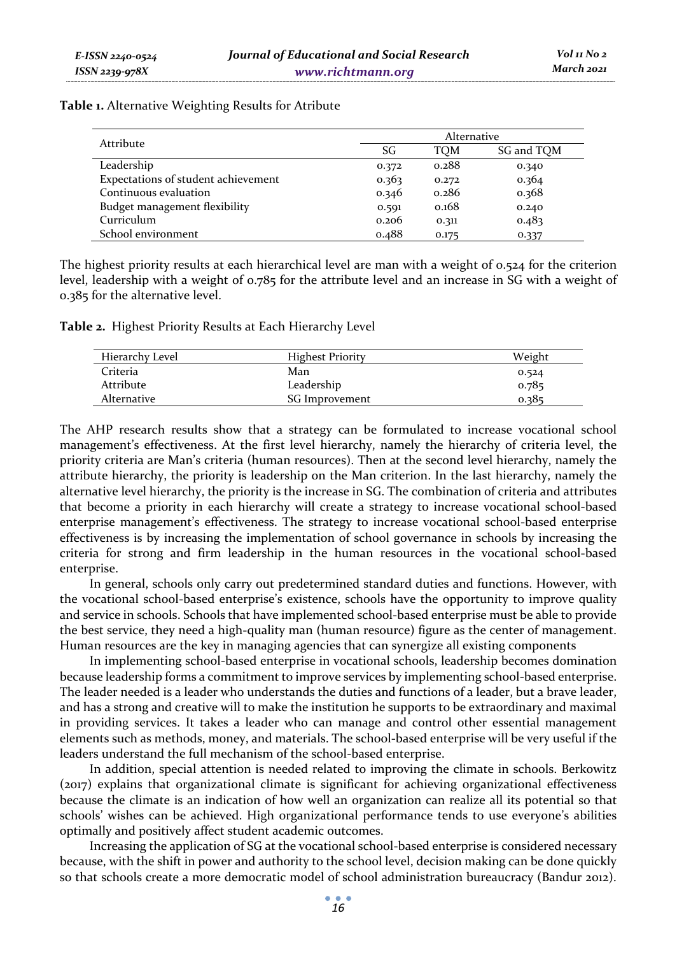| Table 1. Alternative Weighting Results for Atribute |  |  |  |
|-----------------------------------------------------|--|--|--|
|-----------------------------------------------------|--|--|--|

| Attribute                           | Alternative |       |            |
|-------------------------------------|-------------|-------|------------|
|                                     | SG          | TOM   | SG and TQM |
| Leadership                          | 0.372       | 0.288 | 0.340      |
| Expectations of student achievement | 0.363       | 0.272 | 0.364      |
| Continuous evaluation               | 0.346       | 0.286 | 0.368      |
| Budget management flexibility       | 0.591       | 0.168 | 0.240      |
| Curriculum                          | 0.206       | 0.311 | 0.483      |
| School environment                  | 0.488       | 0.175 | 0.337      |

The highest priority results at each hierarchical level are man with a weight of 0.524 for the criterion level, leadership with a weight of 0.785 for the attribute level and an increase in SG with a weight of 0.385 for the alternative level.

**Table 2.** Highest Priority Results at Each Hierarchy Level

| Hierarchy Level | <b>Highest Priority</b> | Weight |
|-----------------|-------------------------|--------|
| Criteria        | Man                     | 0.524  |
| Attribute       | Leadership              | 0.785  |
| Alternative     | SG Improvement          | 0.385  |

The AHP research results show that a strategy can be formulated to increase vocational school management's effectiveness. At the first level hierarchy, namely the hierarchy of criteria level, the priority criteria are Man's criteria (human resources). Then at the second level hierarchy, namely the attribute hierarchy, the priority is leadership on the Man criterion. In the last hierarchy, namely the alternative level hierarchy, the priority is the increase in SG. The combination of criteria and attributes that become a priority in each hierarchy will create a strategy to increase vocational school-based enterprise management's effectiveness. The strategy to increase vocational school-based enterprise effectiveness is by increasing the implementation of school governance in schools by increasing the criteria for strong and firm leadership in the human resources in the vocational school-based enterprise.

In general, schools only carry out predetermined standard duties and functions. However, with the vocational school-based enterprise's existence, schools have the opportunity to improve quality and service in schools. Schools that have implemented school-based enterprise must be able to provide the best service, they need a high-quality man (human resource) figure as the center of management. Human resources are the key in managing agencies that can synergize all existing components

In implementing school-based enterprise in vocational schools, leadership becomes domination because leadership forms a commitment to improve services by implementing school-based enterprise. The leader needed is a leader who understands the duties and functions of a leader, but a brave leader, and has a strong and creative will to make the institution he supports to be extraordinary and maximal in providing services. It takes a leader who can manage and control other essential management elements such as methods, money, and materials. The school-based enterprise will be very useful if the leaders understand the full mechanism of the school-based enterprise.

In addition, special attention is needed related to improving the climate in schools. Berkowitz (2017) explains that organizational climate is significant for achieving organizational effectiveness because the climate is an indication of how well an organization can realize all its potential so that schools' wishes can be achieved. High organizational performance tends to use everyone's abilities optimally and positively affect student academic outcomes.

Increasing the application of SG at the vocational school-based enterprise is considered necessary because, with the shift in power and authority to the school level, decision making can be done quickly so that schools create a more democratic model of school administration bureaucracy (Bandur 2012).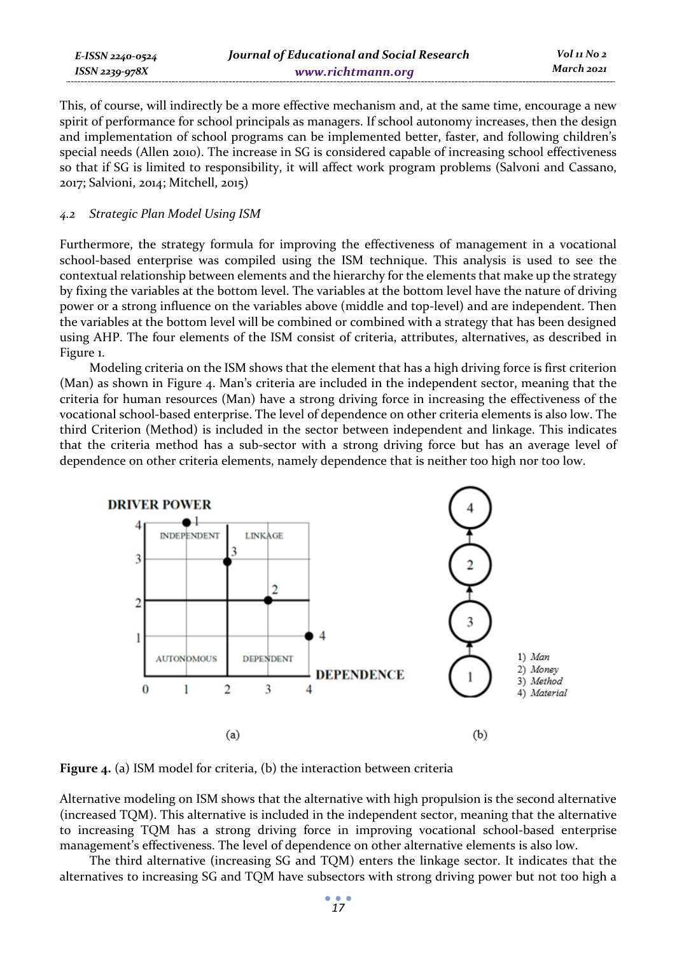| E-ISSN 2240-0524    | Journal of Educational and Social Research | Vol 11 No 2 |
|---------------------|--------------------------------------------|-------------|
| $ISSN$ 2239-97 $8X$ | www.richtmann.org                          | March 2021  |

This, of course, will indirectly be a more effective mechanism and, at the same time, encourage a new spirit of performance for school principals as managers. If school autonomy increases, then the design and implementation of school programs can be implemented better, faster, and following children's special needs (Allen 2010). The increase in SG is considered capable of increasing school effectiveness so that if SG is limited to responsibility, it will affect work program problems (Salvoni and Cassano, 2017; Salvioni, 2014; Mitchell, 2015)

#### *4.2 Strategic Plan Model Using ISM*

Furthermore, the strategy formula for improving the effectiveness of management in a vocational school-based enterprise was compiled using the ISM technique. This analysis is used to see the contextual relationship between elements and the hierarchy for the elements that make up the strategy by fixing the variables at the bottom level. The variables at the bottom level have the nature of driving power or a strong influence on the variables above (middle and top-level) and are independent. Then the variables at the bottom level will be combined or combined with a strategy that has been designed using AHP. The four elements of the ISM consist of criteria, attributes, alternatives, as described in Figure 1.

Modeling criteria on the ISM shows that the element that has a high driving force is first criterion (Man) as shown in Figure 4. Man's criteria are included in the independent sector, meaning that the criteria for human resources (Man) have a strong driving force in increasing the effectiveness of the vocational school-based enterprise. The level of dependence on other criteria elements is also low. The third Criterion (Method) is included in the sector between independent and linkage. This indicates that the criteria method has a sub-sector with a strong driving force but has an average level of dependence on other criteria elements, namely dependence that is neither too high nor too low.



**Figure 4.** (a) ISM model for criteria, (b) the interaction between criteria

Alternative modeling on ISM shows that the alternative with high propulsion is the second alternative (increased TQM). This alternative is included in the independent sector, meaning that the alternative to increasing TQM has a strong driving force in improving vocational school-based enterprise management's effectiveness. The level of dependence on other alternative elements is also low.

The third alternative (increasing SG and TQM) enters the linkage sector. It indicates that the alternatives to increasing SG and TQM have subsectors with strong driving power but not too high a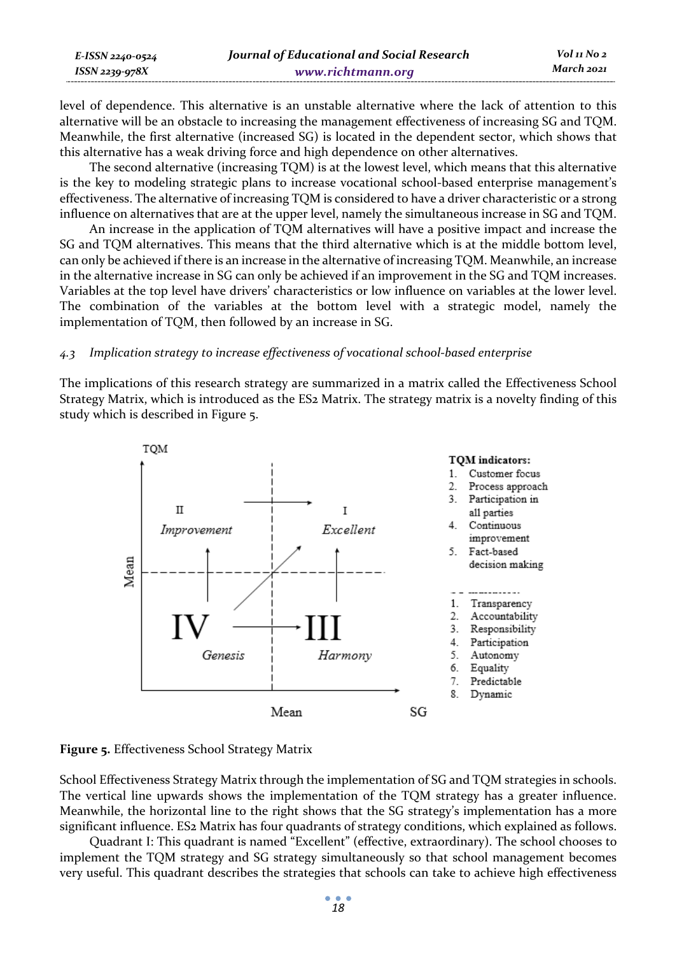| E-ISSN 2240-0524    | Journal of Educational and Social Research | Vol 11 No 2 |
|---------------------|--------------------------------------------|-------------|
| $ISSN$ 2239-97 $8X$ | www.richtmann.org                          | March 2021  |

level of dependence. This alternative is an unstable alternative where the lack of attention to this alternative will be an obstacle to increasing the management effectiveness of increasing SG and TQM. Meanwhile, the first alternative (increased SG) is located in the dependent sector, which shows that this alternative has a weak driving force and high dependence on other alternatives.

The second alternative (increasing TQM) is at the lowest level, which means that this alternative is the key to modeling strategic plans to increase vocational school-based enterprise management's effectiveness. The alternative of increasing TQM is considered to have a driver characteristic or a strong influence on alternatives that are at the upper level, namely the simultaneous increase in SG and TQM.

An increase in the application of TQM alternatives will have a positive impact and increase the SG and TQM alternatives. This means that the third alternative which is at the middle bottom level, can only be achieved if there is an increase in the alternative of increasing TQM. Meanwhile, an increase in the alternative increase in SG can only be achieved if an improvement in the SG and TQM increases. Variables at the top level have drivers' characteristics or low influence on variables at the lower level. The combination of the variables at the bottom level with a strategic model, namely the implementation of TQM, then followed by an increase in SG.

#### *4.3 Implication strategy to increase effectiveness of vocational school-based enterprise*

The implications of this research strategy are summarized in a matrix called the Effectiveness School Strategy Matrix, which is introduced as the ES2 Matrix. The strategy matrix is a novelty finding of this study which is described in Figure 5.



#### **Figure 5.** Effectiveness School Strategy Matrix

School Effectiveness Strategy Matrix through the implementation of SG and TQM strategies in schools. The vertical line upwards shows the implementation of the TQM strategy has a greater influence. Meanwhile, the horizontal line to the right shows that the SG strategy's implementation has a more significant influence. ES2 Matrix has four quadrants of strategy conditions, which explained as follows.

Quadrant I: This quadrant is named "Excellent" (effective, extraordinary). The school chooses to implement the TQM strategy and SG strategy simultaneously so that school management becomes very useful. This quadrant describes the strategies that schools can take to achieve high effectiveness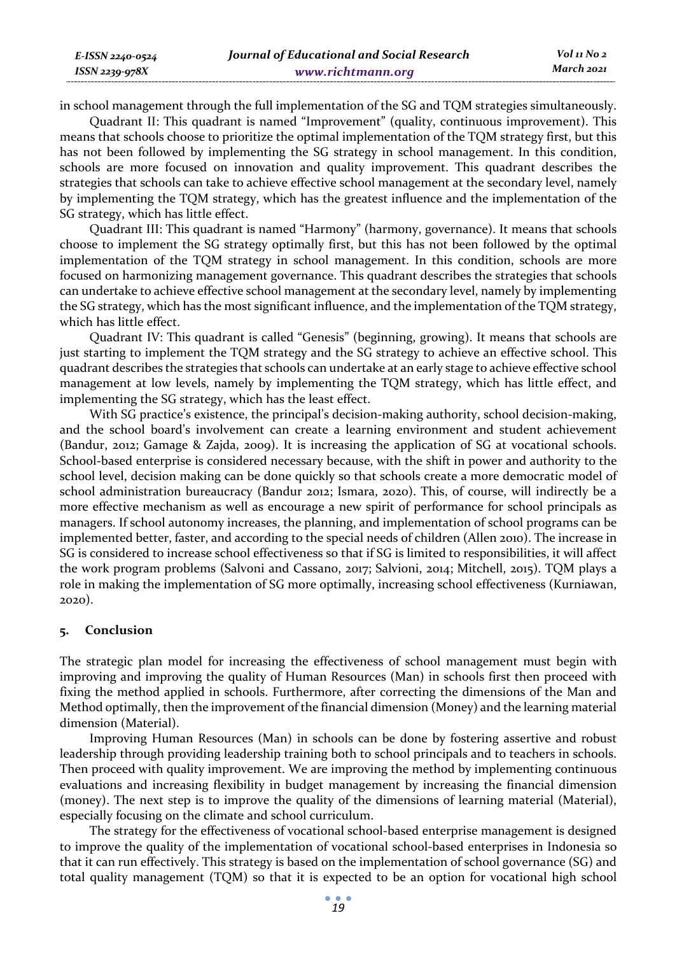| E-ISSN 2240-0524    | Journal of Educational and Social Research | Vol 11 No 2 |
|---------------------|--------------------------------------------|-------------|
| $ISSN$ 2239-97 $8X$ | www.richtmann.org                          | March 2021  |

in school management through the full implementation of the SG and TQM strategies simultaneously.

Quadrant II: This quadrant is named "Improvement" (quality, continuous improvement). This means that schools choose to prioritize the optimal implementation of the TQM strategy first, but this has not been followed by implementing the SG strategy in school management. In this condition, schools are more focused on innovation and quality improvement. This quadrant describes the strategies that schools can take to achieve effective school management at the secondary level, namely by implementing the TQM strategy, which has the greatest influence and the implementation of the SG strategy, which has little effect.

Quadrant III: This quadrant is named "Harmony" (harmony, governance). It means that schools choose to implement the SG strategy optimally first, but this has not been followed by the optimal implementation of the TQM strategy in school management. In this condition, schools are more focused on harmonizing management governance. This quadrant describes the strategies that schools can undertake to achieve effective school management at the secondary level, namely by implementing the SG strategy, which has the most significant influence, and the implementation of the TQM strategy, which has little effect.

Quadrant IV: This quadrant is called "Genesis" (beginning, growing). It means that schools are just starting to implement the TQM strategy and the SG strategy to achieve an effective school. This quadrant describes the strategies that schools can undertake at an early stage to achieve effective school management at low levels, namely by implementing the TQM strategy, which has little effect, and implementing the SG strategy, which has the least effect.

With SG practice's existence, the principal's decision-making authority, school decision-making, and the school board's involvement can create a learning environment and student achievement (Bandur, 2012; Gamage & Zajda, 2009). It is increasing the application of SG at vocational schools. School-based enterprise is considered necessary because, with the shift in power and authority to the school level, decision making can be done quickly so that schools create a more democratic model of school administration bureaucracy (Bandur 2012; Ismara, 2020). This, of course, will indirectly be a more effective mechanism as well as encourage a new spirit of performance for school principals as managers. If school autonomy increases, the planning, and implementation of school programs can be implemented better, faster, and according to the special needs of children (Allen 2010). The increase in SG is considered to increase school effectiveness so that if SG is limited to responsibilities, it will affect the work program problems (Salvoni and Cassano, 2017; Salvioni, 2014; Mitchell, 2015). TQM plays a role in making the implementation of SG more optimally, increasing school effectiveness (Kurniawan, 2020).

### **5. Conclusion**

The strategic plan model for increasing the effectiveness of school management must begin with improving and improving the quality of Human Resources (Man) in schools first then proceed with fixing the method applied in schools. Furthermore, after correcting the dimensions of the Man and Method optimally, then the improvement of the financial dimension (Money) and the learning material dimension (Material).

Improving Human Resources (Man) in schools can be done by fostering assertive and robust leadership through providing leadership training both to school principals and to teachers in schools. Then proceed with quality improvement. We are improving the method by implementing continuous evaluations and increasing flexibility in budget management by increasing the financial dimension (money). The next step is to improve the quality of the dimensions of learning material (Material), especially focusing on the climate and school curriculum.

The strategy for the effectiveness of vocational school-based enterprise management is designed to improve the quality of the implementation of vocational school-based enterprises in Indonesia so that it can run effectively. This strategy is based on the implementation of school governance (SG) and total quality management (TQM) so that it is expected to be an option for vocational high school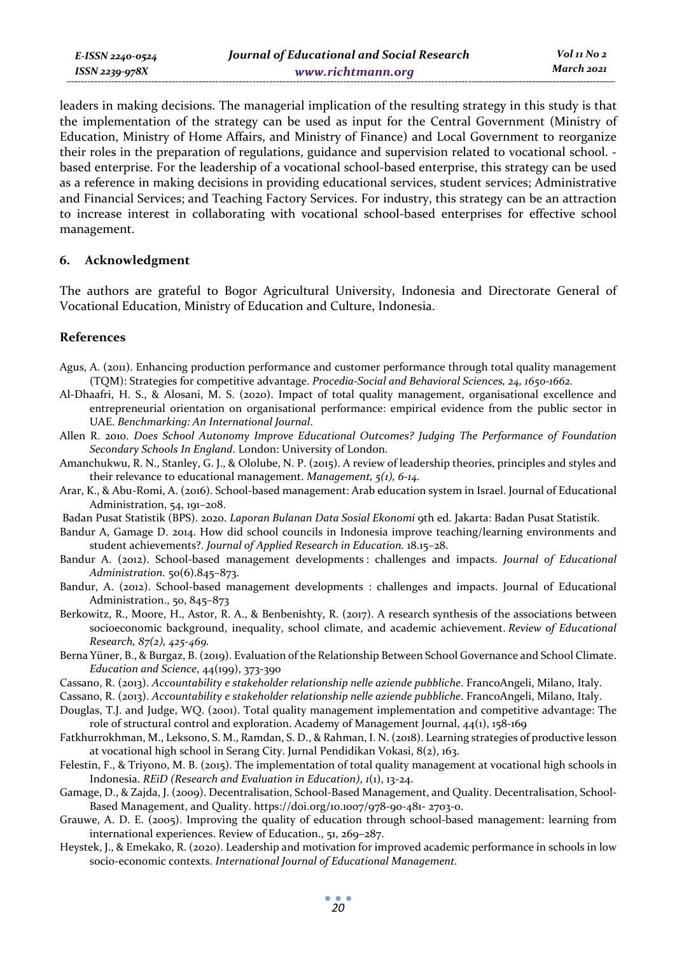leaders in making decisions. The managerial implication of the resulting strategy in this study is that the implementation of the strategy can be used as input for the Central Government (Ministry of Education, Ministry of Home Affairs, and Ministry of Finance) and Local Government to reorganize their roles in the preparation of regulations, guidance and supervision related to vocational school. based enterprise. For the leadership of a vocational school-based enterprise, this strategy can be used as a reference in making decisions in providing educational services, student services; Administrative and Financial Services; and Teaching Factory Services. For industry, this strategy can be an attraction to increase interest in collaborating with vocational school-based enterprises for effective school management.

### **6. Acknowledgment**

The authors are grateful to Bogor Agricultural University, Indonesia and Directorate General of Vocational Education, Ministry of Education and Culture, Indonesia.

### **References**

- Agus, A. (2011). Enhancing production performance and customer performance through total quality management (TQM): Strategies for competitive advantage. *Procedia-Social and Behavioral Sciences, 24, 1650-1662.*
- Al-Dhaafri, H. S., & Alosani, M. S. (2020). Impact of total quality management, organisational excellence and entrepreneurial orientation on organisational performance: empirical evidence from the public sector in UAE. *Benchmarking: An International Journal*.
- Allen R. 2010. *Does School Autonomy Improve Educational Outcomes? Judging The Performance of Foundation Secondary Schools In England*. London: University of London.
- Amanchukwu, R. N., Stanley, G. J., & Ololube, N. P. (2015). A review of leadership theories, principles and styles and their relevance to educational management. *Management, 5(1), 6-14.*
- Arar, K., & Abu-Romi, A. (2016). School-based management: Arab education system in Israel. Journal of Educational Administration, 54, 191–208.
- Badan Pusat Statistik (BPS). 2020. *Laporan Bulanan Data Sosial Ekonomi* 9th ed. Jakarta: Badan Pusat Statistik.
- Bandur A, Gamage D. 2014. How did school councils in Indonesia improve teaching/learning environments and student achievements?. *Journal of Applied Research in Education.* 18.15–28.
- Bandur A. (2012). School-based management developments : challenges and impacts. *Journal of Educational Administration.* 50(6).845–873.
- Bandur, A. (2012). School-based management developments : challenges and impacts. Journal of Educational Administration., 50, 845–873
- Berkowitz, R., Moore, H., Astor, R. A., & Benbenishty, R. (2017). A research synthesis of the associations between socioeconomic background, inequality, school climate, and academic achievement. *Review of Educational Research, 87(2), 425-469.*
- Berna Yüner, B., & Burgaz, B. (2019). Evaluation of the Relationship Between School Governance and School Climate. *Education and Science*, 44(199), 373-390
- Cassano, R. (2013). *Accountability e stakeholder relationship nelle aziende pubbliche*. FrancoAngeli, Milano, Italy.
- Cassano, R. (2013). *Accountability e stakeholder relationship nelle aziende pubbliche*. FrancoAngeli, Milano, Italy.
- Douglas, T.J. and Judge, WQ. (2001). Total quality management implementation and competitive advantage: The role of structural control and exploration. Academy of Management Journal, 44(1), 158-169
- Fatkhurrokhman, M., Leksono, S. M., Ramdan, S. D., & Rahman, I. N. (2018). Learning strategies of productive lesson at vocational high school in Serang City. Jurnal Pendidikan Vokasi, 8(2), 163.
- Felestin, F., & Triyono, M. B. (2015). The implementation of total quality management at vocational high schools in Indonesia. *REiD (Research and Evaluation in Education)*, *1*(1), 13-24.
- Gamage, D., & Zajda, J. (2009). Decentralisation, School-Based Management, and Quality. Decentralisation, School-Based Management, and Quality. https://doi.org/10.1007/978-90-481- 2703-0.
- Grauwe, A. D. E. (2005). Improving the quality of education through school-based management: learning from international experiences. Review of Education., 51, 269–287.
- Heystek, J., & Emekako, R. (2020). Leadership and motivation for improved academic performance in schools in low socio-economic contexts. *International Journal of Educational Management.*